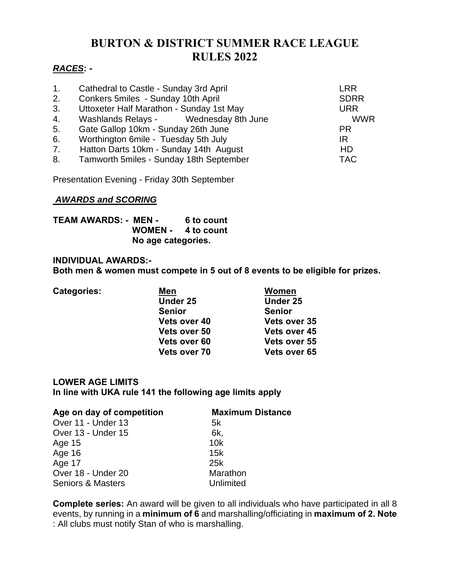# **BURTON & DISTRICT SUMMER RACE LEAGUE RULES 2022**

# *RACES***: -**

| 1.             | Cathedral to Castle - Sunday 3rd April   | LRR         |
|----------------|------------------------------------------|-------------|
| 2.             | Conkers 5miles - Sunday 10th April       | <b>SDRR</b> |
| 3.             | Uttoxeter Half Marathon - Sunday 1st May | <b>URR</b>  |
| 4.             | Washlands Relays - Wednesday 8th June    | <b>WWR</b>  |
| 5.             | Gate Gallop 10km - Sunday 26th June      | <b>PR</b>   |
| 6.             | Worthington 6mile - Tuesday 5th July     | IR          |
| 7 <sub>1</sub> | Hatton Darts 10km - Sunday 14th August   | <b>HD</b>   |
| 8.             | Tamworth 5miles - Sunday 18th September  | <b>TAC</b>  |
|                |                                          |             |

Presentation Evening - Friday 30th September

#### *AWARDS and SCORING*

**TEAM AWARDS: - MEN - 6 to count WOMEN - 4 to count No age categories.**

#### **INDIVIDUAL AWARDS:-**

**Both men & women must compete in 5 out of 8 events to be eligible for prizes.**

| <b>Categories:</b> | Men           | Women               |
|--------------------|---------------|---------------------|
|                    | Under 25      | Under 25            |
|                    | <b>Senior</b> | <b>Senior</b>       |
|                    | Vets over 40  | <b>Vets over 35</b> |
|                    | Vets over 50  | <b>Vets over 45</b> |
|                    | Vets over 60  | Vets over 55        |
|                    | Vets over 70  | Vets over 65        |

## **LOWER AGE LIMITS In line with UKA rule 141 the following age limits apply**

| Age on day of competition    | <b>Maximum Distance</b> |  |
|------------------------------|-------------------------|--|
| Over 11 - Under 13           | 5k                      |  |
| Over 13 - Under 15           | 6k,                     |  |
| Age 15                       | 10k                     |  |
| Age 16                       | 15k                     |  |
| Age 17                       | 25k                     |  |
| Over 18 - Under 20           | Marathon                |  |
| <b>Seniors &amp; Masters</b> | Unlimited               |  |

**Complete series:** An award will be given to all individuals who have participated in all 8 events, by running in a **minimum of 6** and marshalling/officiating in **maximum of 2. Note** : All clubs must notify Stan of who is marshalling.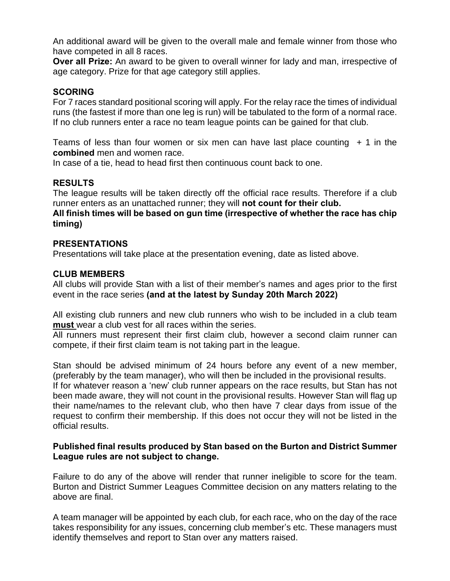An additional award will be given to the overall male and female winner from those who have competed in all 8 races.

**Over all Prize:** An award to be given to overall winner for lady and man, irrespective of age category. Prize for that age category still applies.

## **SCORING**

For 7 races standard positional scoring will apply. For the relay race the times of individual runs (the fastest if more than one leg is run) will be tabulated to the form of a normal race. If no club runners enter a race no team league points can be gained for that club.

Teams of less than four women or six men can have last place counting  $+1$  in the **combined** men and women race.

In case of a tie, head to head first then continuous count back to one.

### **RESULTS**

The league results will be taken directly off the official race results. Therefore if a club runner enters as an unattached runner; they will **not count for their club.**

**All finish times will be based on gun time (irrespective of whether the race has chip timing)**

### **PRESENTATIONS**

Presentations will take place at the presentation evening, date as listed above.

#### **CLUB MEMBERS**

All clubs will provide Stan with a list of their member's names and ages prior to the first event in the race series **(and at the latest by Sunday 20th March 2022)**

All existing club runners and new club runners who wish to be included in a club team **must** wear a club vest for all races within the series.

All runners must represent their first claim club, however a second claim runner can compete, if their first claim team is not taking part in the league.

Stan should be advised minimum of 24 hours before any event of a new member, (preferably by the team manager), who will then be included in the provisional results.

If for whatever reason a 'new' club runner appears on the race results, but Stan has not been made aware, they will not count in the provisional results. However Stan will flag up their name/names to the relevant club, who then have 7 clear days from issue of the request to confirm their membership. If this does not occur they will not be listed in the official results.

#### **Published final results produced by Stan based on the Burton and District Summer League rules are not subject to change.**

Failure to do any of the above will render that runner ineligible to score for the team. Burton and District Summer Leagues Committee decision on any matters relating to the above are final.

A team manager will be appointed by each club, for each race, who on the day of the race takes responsibility for any issues, concerning club member's etc. These managers must identify themselves and report to Stan over any matters raised.